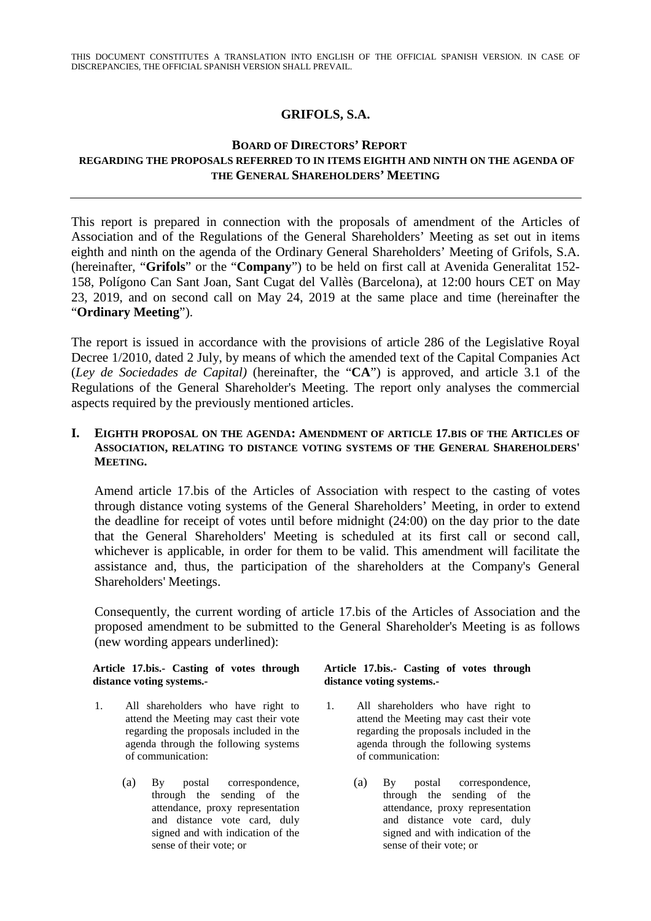THIS DOCUMENT CONSTITUTES A TRANSLATION INTO ENGLISH OF THE OFFICIAL SPANISH VERSION. IN CASE OF DISCREPANCIES, THE OFFICIAL SPANISH VERSION SHALL PREVAIL.

# **GRIFOLS, S.A.**

# **BOARD OF DIRECTORS' REPORT REGARDING THE PROPOSALS REFERRED TO IN ITEMS EIGHTH AND NINTH ON THE AGENDA OF THE GENERAL SHAREHOLDERS' MEETING**

This report is prepared in connection with the proposals of amendment of the Articles of Association and of the Regulations of the General Shareholders' Meeting as set out in items eighth and ninth on the agenda of the Ordinary General Shareholders' Meeting of Grifols, S.A. (hereinafter, "**Grifols**" or the "**Company**") to be held on first call at Avenida Generalitat 152- 158, Polígono Can Sant Joan, Sant Cugat del Vallès (Barcelona), at 12:00 hours CET on May 23, 2019, and on second call on May 24, 2019 at the same place and time (hereinafter the "**Ordinary Meeting**").

The report is issued in accordance with the provisions of article 286 of the Legislative Royal Decree 1/2010, dated 2 July, by means of which the amended text of the Capital Companies Act (*Ley de Sociedades de Capital)* (hereinafter, the "**CA**") is approved, and article 3.1 of the Regulations of the General Shareholder's Meeting. The report only analyses the commercial aspects required by the previously mentioned articles.

## **I. EIGHTH PROPOSAL ON THE AGENDA: AMENDMENT OF ARTICLE 17.BIS OF THE ARTICLES OF ASSOCIATION, RELATING TO DISTANCE VOTING SYSTEMS OF THE GENERAL SHAREHOLDERS' MEETING.**

Amend article 17.bis of the Articles of Association with respect to the casting of votes through distance voting systems of the General Shareholders' Meeting, in order to extend the deadline for receipt of votes until before midnight (24:00) on the day prior to the date that the General Shareholders' Meeting is scheduled at its first call or second call, whichever is applicable, in order for them to be valid. This amendment will facilitate the assistance and, thus, the participation of the shareholders at the Company's General Shareholders' Meetings.

Consequently, the current wording of article 17.bis of the Articles of Association and the proposed amendment to be submitted to the General Shareholder's Meeting is as follows (new wording appears underlined):

#### **Article 17.bis.- Casting of votes through distance voting systems.-**

- 1. All shareholders who have right to attend the Meeting may cast their vote regarding the proposals included in the agenda through the following systems of communication:
	- (a) By postal correspondence, through the sending of the attendance, proxy representation and distance vote card, duly signed and with indication of the sense of their vote; or

### **Article 17.bis.- Casting of votes through distance voting systems.-**

- 1. All shareholders who have right to attend the Meeting may cast their vote regarding the proposals included in the agenda through the following systems of communication:
	- (a) By postal correspondence, through the sending of the attendance, proxy representation and distance vote card, duly signed and with indication of the sense of their vote; or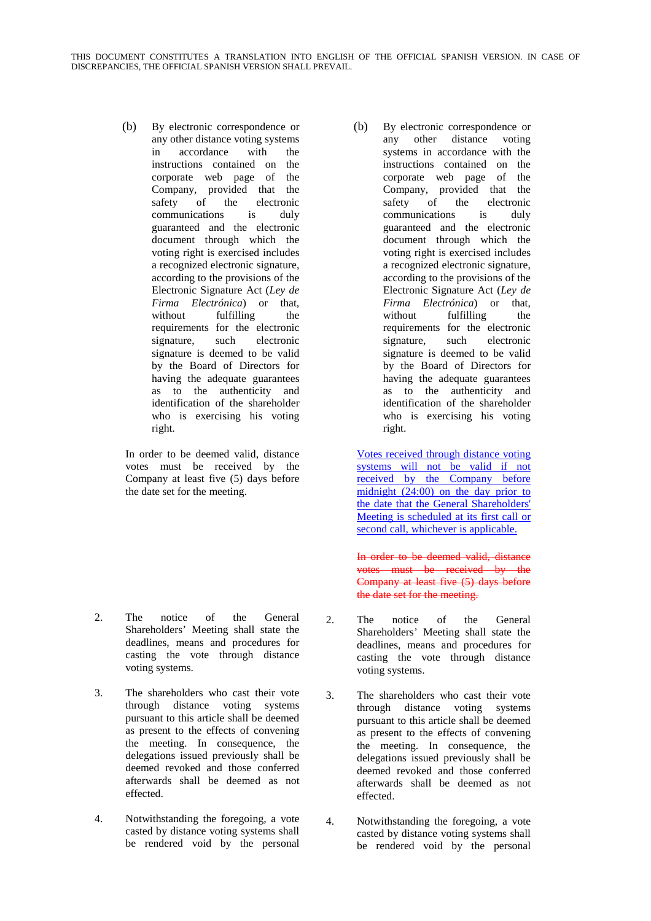(b) By electronic correspondence or any other distance voting systems in accordance with the instructions contained on the corporate web page of the Company, provided that the safety of the electronic communications is duly guaranteed and the electronic document through which the voting right is exercised includes a recognized electronic signature, according to the provisions of the Electronic Signature Act (*Ley de Firma Electrónica*) or that, without fulfilling the requirements for the electronic signature, such electronic signature is deemed to be valid by the Board of Directors for having the adequate guarantees as to the authenticity and identification of the shareholder who is exercising his voting right.

In order to be deemed valid, distance votes must be received by the Company at least five (5) days before the date set for the meeting.

- 2. The notice of the General Shareholders' Meeting shall state the deadlines, means and procedures for casting the vote through distance voting systems.
- 3. The shareholders who cast their vote through distance voting systems pursuant to this article shall be deemed as present to the effects of convening the meeting. In consequence, the delegations issued previously shall be deemed revoked and those conferred afterwards shall be deemed as not effected.
- 4. Notwithstanding the foregoing, a vote casted by distance voting systems shall be rendered void by the personal

(b) By electronic correspondence or any other distance voting systems in accordance with the instructions contained on the corporate web page of the Company, provided that the safety of the electronic communications is duly guaranteed and the electronic document through which the voting right is exercised includes a recognized electronic signature, according to the provisions of the Electronic Signature Act (*Ley de Firma Electrónica*) or that, without fulfilling the requirements for the electronic signature, such electronic signature is deemed to be valid by the Board of Directors for having the adequate guarantees as to the authenticity and identification of the shareholder who is exercising his voting right.

Votes received through distance voting systems will not be valid if not received by the Company before midnight (24:00) on the day prior to the date that the General Shareholders' Meeting is scheduled at its first call or second call, whichever is applicable.

In order to be deemed valid, distance votes must be received by the Company at least five (5) days before the date set for the meeting.

- 2. The notice of the General Shareholders' Meeting shall state the deadlines, means and procedures for casting the vote through distance voting systems.
- 3. The shareholders who cast their vote through distance voting systems pursuant to this article shall be deemed as present to the effects of convening the meeting. In consequence, the delegations issued previously shall be deemed revoked and those conferred afterwards shall be deemed as not effected.
- 4. Notwithstanding the foregoing, a vote casted by distance voting systems shall be rendered void by the personal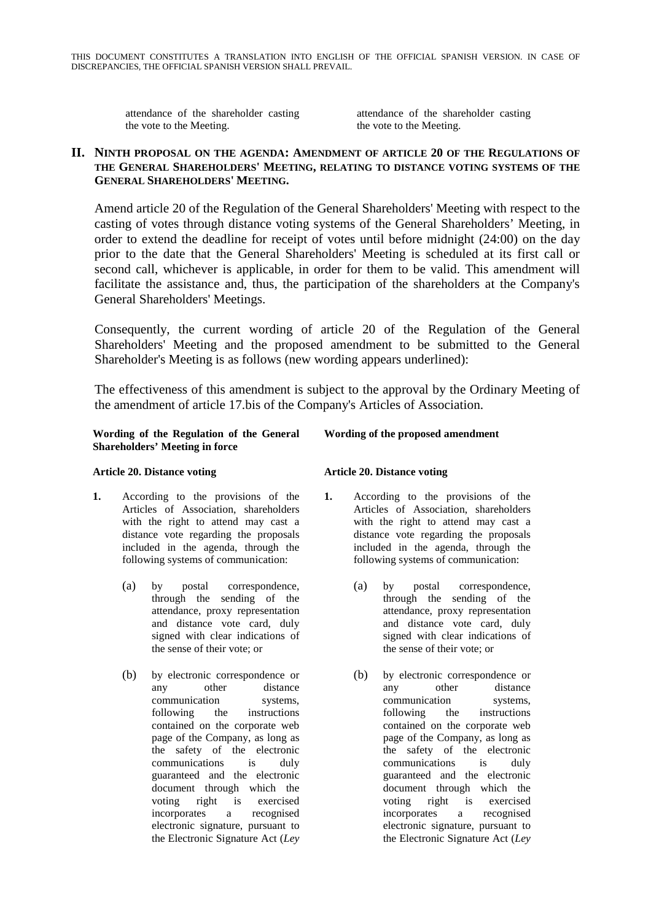attendance of the shareholder casting the vote to the Meeting.

attendance of the shareholder casting the vote to the Meeting.

## **II. NINTH PROPOSAL ON THE AGENDA: AMENDMENT OF ARTICLE 20 OF THE REGULATIONS OF THE GENERAL SHAREHOLDERS' MEETING, RELATING TO DISTANCE VOTING SYSTEMS OF THE GENERAL SHAREHOLDERS' MEETING.**

Amend article 20 of the Regulation of the General Shareholders' Meeting with respect to the casting of votes through distance voting systems of the General Shareholders' Meeting, in order to extend the deadline for receipt of votes until before midnight (24:00) on the day prior to the date that the General Shareholders' Meeting is scheduled at its first call or second call, whichever is applicable, in order for them to be valid. This amendment will facilitate the assistance and, thus, the participation of the shareholders at the Company's General Shareholders' Meetings.

Consequently, the current wording of article 20 of the Regulation of the General Shareholders' Meeting and the proposed amendment to be submitted to the General Shareholder's Meeting is as follows (new wording appears underlined):

The effectiveness of this amendment is subject to the approval by the Ordinary Meeting of the amendment of article 17.bis of the Company's Articles of Association.

### **Wording of the Regulation of the General Shareholders' Meeting in force**

## **Article 20. Distance voting**

- **1.** According to the provisions of the Articles of Association, shareholders with the right to attend may cast a distance vote regarding the proposals included in the agenda, through the following systems of communication:
	- (a) by postal correspondence, through the sending of the attendance, proxy representation and distance vote card, duly signed with clear indications of the sense of their vote; or
	- (b) by electronic correspondence or any other distance communication systems, following the instructions contained on the corporate web page of the Company, as long as the safety of the electronic communications is duly guaranteed and the electronic document through which the voting right is exercised incorporates a recognised electronic signature, pursuant to the Electronic Signature Act (*Ley*

# **Wording of the proposed amendment**

### **Article 20. Distance voting**

- **1.** According to the provisions of the Articles of Association, shareholders with the right to attend may cast a distance vote regarding the proposals included in the agenda, through the following systems of communication:
	- (a) by postal correspondence, through the sending of the attendance, proxy representation and distance vote card, duly signed with clear indications of the sense of their vote; or
	- (b) by electronic correspondence or any other distance communication systems, following the instructions contained on the corporate web page of the Company, as long as the safety of the electronic communications is duly guaranteed and the electronic document through which the voting right is exercised incorporates a recognised electronic signature, pursuant to the Electronic Signature Act (*Ley*